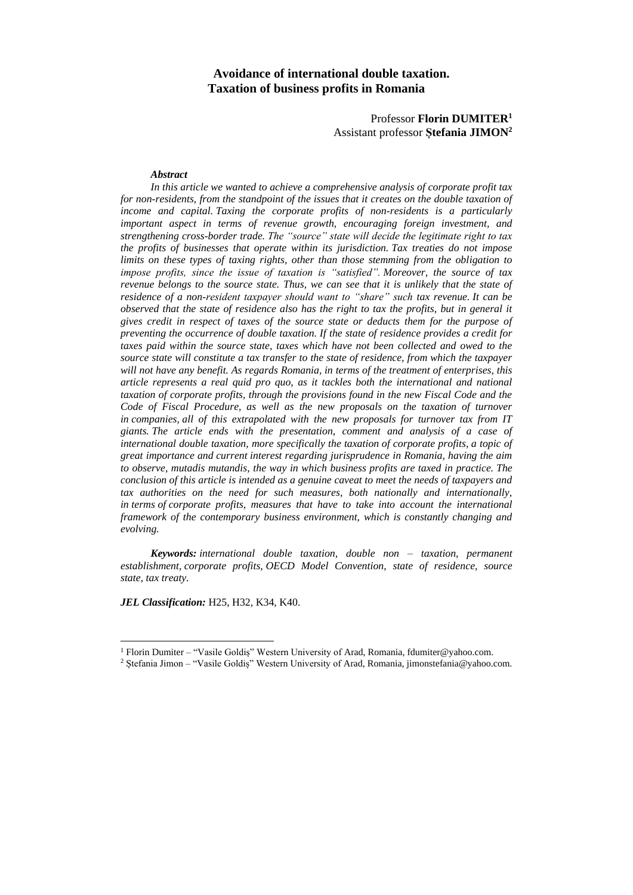## **Avoidance of international double taxation. Taxation of business profits in Romania**

Professor **Florin DUMITER<sup>1</sup>** Assistant professor **Ștefania JIMON<sup>2</sup>**

#### *Abstract*

*In this article we wanted to achieve a comprehensive analysis of corporate profit tax for non-residents, from the standpoint of the issues that it creates on the double taxation of income and capital. Taxing the corporate profits of non-residents is a particularly important aspect in terms of revenue growth, encouraging foreign investment, and strengthening cross-border trade. The "source" state will decide the legitimate right to tax the profits of businesses that operate within its jurisdiction. Tax treaties do not impose limits on these types of taxing rights, other than those stemming from the obligation to impose profits, since the issue of taxation is "satisfied". Moreover, the source of tax revenue belongs to the source state. Thus, we can see that it is unlikely that the state of residence of a non-resident taxpayer should want to "share" such tax revenue. It can be observed that the state of residence also has the right to tax the profits, but in general it gives credit in respect of taxes of the source state or deducts them for the purpose of preventing the occurrence of double taxation. If the state of residence provides a credit for taxes paid within the source state, taxes which have not been collected and owed to the source state will constitute a tax transfer to the state of residence, from which the taxpayer will not have any benefit. As regards Romania, in terms of the treatment of enterprises, this article represents a real quid pro quo, as it tackles both the international and national taxation of corporate profits, through the provisions found in the new Fiscal Code and the Code of Fiscal Procedure, as well as the new proposals on the taxation of turnover in companies, all of this extrapolated with the new proposals for turnover tax from IT giants. The article ends with the presentation, comment and analysis of a case of international double taxation, more specifically the taxation of corporate profits, a topic of great importance and current interest regarding jurisprudence in Romania, having the aim to observe, mutadis mutandis, the way in which business profits are taxed in practice. The conclusion of this article is intended as a genuine caveat to meet the needs of taxpayers and tax authorities on the need for such measures, both nationally and internationally, in terms of corporate profits, measures that have to take into account the international framework of the contemporary business environment, which is constantly changing and evolving.*

*Keywords: international double taxation, double non – taxation, permanent establishment, corporate profits, OECD Model Convention, state of residence, source state, tax treaty.*

*JEL Classification:* H25, H32, K34, K40.

 $\overline{a}$ 

<sup>1</sup> Florin Dumiter – "Vasile Goldiș" Western University of Arad, Romania, fdumiter@yahoo.com.

<sup>2</sup> Ștefania Jimon – "Vasile Goldiș" Western University of Arad, Romania, jimonstefania@yahoo.com.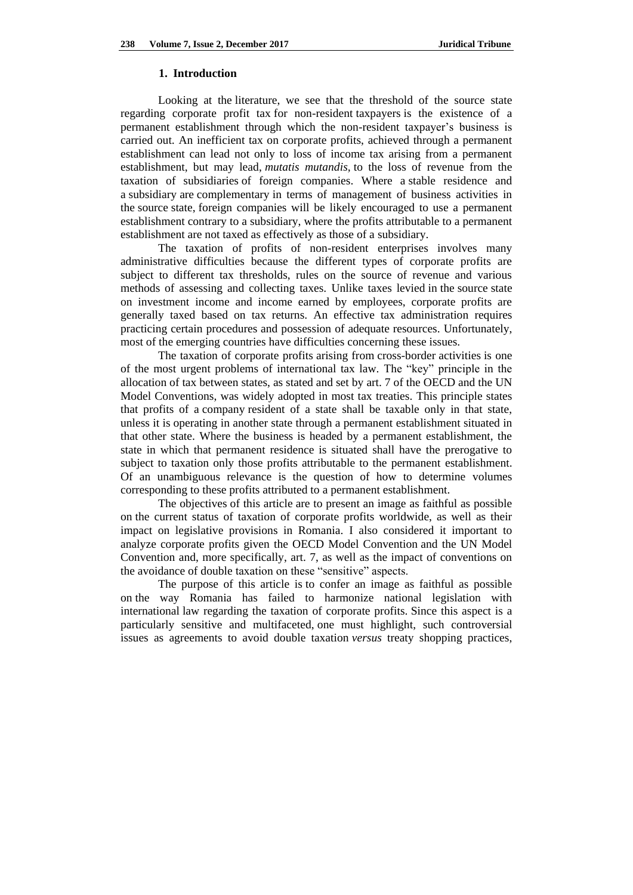#### **1. Introduction**

Looking at the literature, we see that the threshold of the source state regarding corporate profit tax for non-resident taxpayers is the existence of a permanent establishment through which the non-resident taxpayer's business is carried out. An inefficient tax on corporate profits, achieved through a permanent establishment can lead not only to loss of income tax arising from a permanent establishment, but may lead, *mutatis mutandis,* to the loss of revenue from the taxation of subsidiaries of foreign companies. Where a stable residence and a subsidiary are complementary in terms of management of business activities in the source state, foreign companies will be likely encouraged to use a permanent establishment contrary to a subsidiary, where the profits attributable to a permanent establishment are not taxed as effectively as those of a subsidiary.

The taxation of profits of non-resident enterprises involves many administrative difficulties because the different types of corporate profits are subject to different tax thresholds, rules on the source of revenue and various methods of assessing and collecting taxes. Unlike taxes levied in the source state on investment income and income earned by employees, corporate profits are generally taxed based on tax returns. An effective tax administration requires practicing certain procedures and possession of adequate resources. Unfortunately, most of the emerging countries have difficulties concerning these issues.

The taxation of corporate profits arising from cross-border activities is one of the most urgent problems of international tax law. The "key" principle in the allocation of tax between states, as stated and set by art. 7 of the OECD and the UN Model Conventions, was widely adopted in most tax treaties. This principle states that profits of a company resident of a state shall be taxable only in that state, unless it is operating in another state through a permanent establishment situated in that other state. Where the business is headed by a permanent establishment, the state in which that permanent residence is situated shall have the prerogative to subject to taxation only those profits attributable to the permanent establishment. Of an unambiguous relevance is the question of how to determine volumes corresponding to these profits attributed to a permanent establishment.

The objectives of this article are to present an image as faithful as possible on the current status of taxation of corporate profits worldwide, as well as their impact on legislative provisions in Romania. I also considered it important to analyze corporate profits given the OECD Model Convention and the UN Model Convention and, more specifically, art. 7, as well as the impact of conventions on the avoidance of double taxation on these "sensitive" aspects.

The purpose of this article is to confer an image as faithful as possible on the way Romania has failed to harmonize national legislation with international law regarding the taxation of corporate profits. Since this aspect is a particularly sensitive and multifaceted, one must highlight, such controversial issues as agreements to avoid double taxation *versus* treaty shopping practices,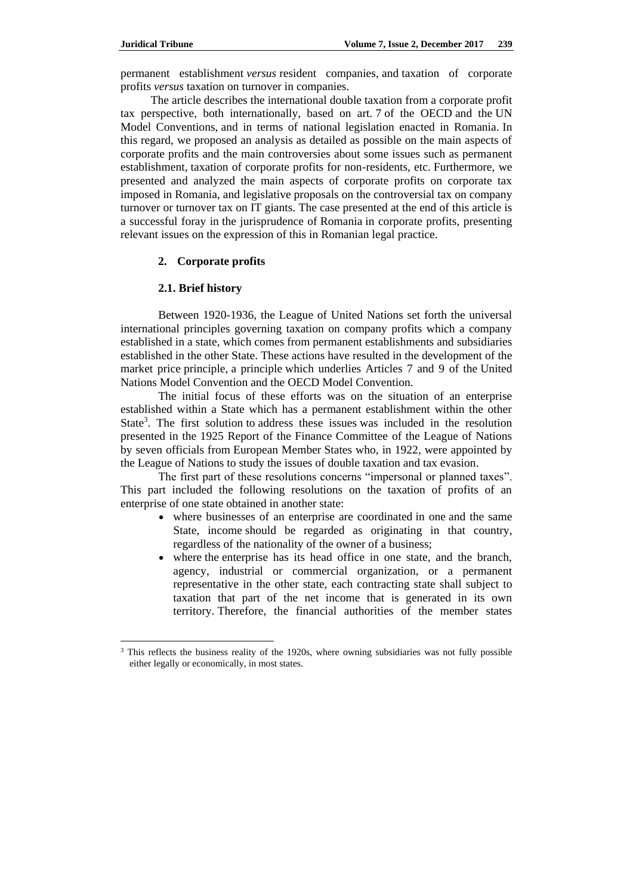permanent establishment *versus* resident companies, and taxation of corporate profits *versus* taxation on turnover in companies.

The article describes the international double taxation from a corporate profit tax perspective, both internationally, based on art. 7 of the OECD and the UN Model Conventions, and in terms of national legislation enacted in Romania. In this regard, we proposed an analysis as detailed as possible on the main aspects of corporate profits and the main controversies about some issues such as permanent establishment, taxation of corporate profits for non-residents, etc. Furthermore, we presented and analyzed the main aspects of corporate profits on corporate tax imposed in Romania, and legislative proposals on the controversial tax on company turnover or turnover tax on IT giants. The case presented at the end of this article is a successful foray in the jurisprudence of Romania in corporate profits, presenting relevant issues on the expression of this in Romanian legal practice.

## **2. Corporate profits**

### **2.1. Brief history**

 $\overline{a}$ 

Between 1920-1936, the League of United Nations set forth the universal international principles governing taxation on company profits which a company established in a state, which comes from permanent establishments and subsidiaries established in the other State. These actions have resulted in the development of the market price principle, a principle which underlies Articles 7 and 9 of the United Nations Model Convention and the OECD Model Convention.

The initial focus of these efforts was on the situation of an enterprise established within a State which has a permanent establishment within the other State<sup>3</sup>. The first solution to address these issues was included in the resolution presented in the 1925 Report of the Finance Committee of the League of Nations by seven officials from European Member States who, in 1922, were appointed by the League of Nations to study the issues of double taxation and tax evasion.

The first part of these resolutions concerns "impersonal or planned taxes". This part included the following resolutions on the taxation of profits of an enterprise of one state obtained in another state:

- where businesses of an enterprise are coordinated in one and the same State, income should be regarded as originating in that country, regardless of the nationality of the owner of a business;
- where the enterprise has its head office in one state, and the branch, agency, industrial or commercial organization, or a permanent representative in the other state, each contracting state shall subject to taxation that part of the net income that is generated in its own territory. Therefore, the financial authorities of the member states

<sup>&</sup>lt;sup>3</sup> This reflects the business reality of the 1920s, where owning subsidiaries was not fully possible either legally or economically, in most states.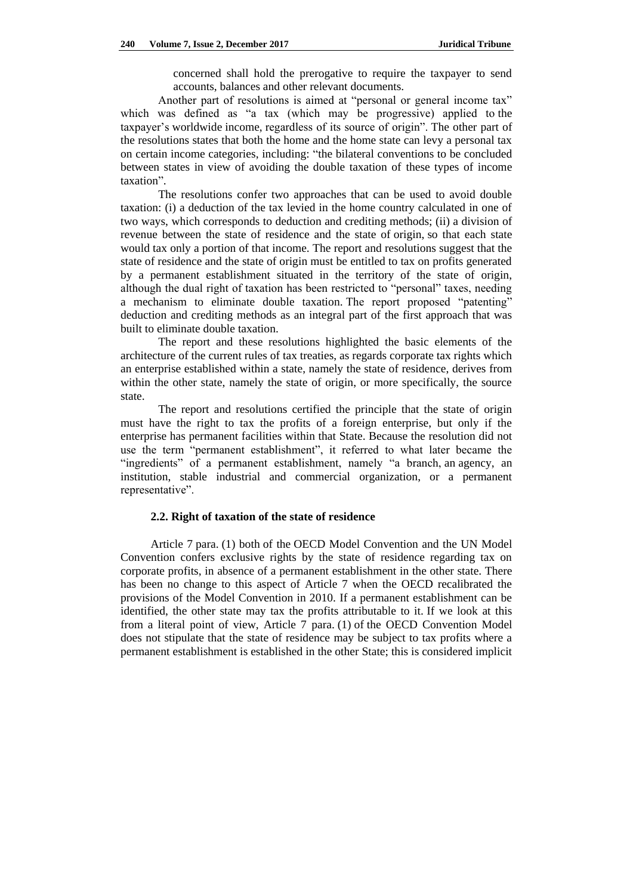concerned shall hold the prerogative to require the taxpayer to send accounts, balances and other relevant documents.

Another part of resolutions is aimed at "personal or general income tax" which was defined as "a tax (which may be progressive) applied to the taxpayer's worldwide income, regardless of its source of origin". The other part of the resolutions states that both the home and the home state can levy a personal tax on certain income categories, including: "the bilateral conventions to be concluded between states in view of avoiding the double taxation of these types of income taxation".

The resolutions confer two approaches that can be used to avoid double taxation: (i) a deduction of the tax levied in the home country calculated in one of two ways, which corresponds to deduction and crediting methods; (ii) a division of revenue between the state of residence and the state of origin, so that each state would tax only a portion of that income. The report and resolutions suggest that the state of residence and the state of origin must be entitled to tax on profits generated by a permanent establishment situated in the territory of the state of origin, although the dual right of taxation has been restricted to "personal" taxes, needing a mechanism to eliminate double taxation. The report proposed "patenting" deduction and crediting methods as an integral part of the first approach that was built to eliminate double taxation.

The report and these resolutions highlighted the basic elements of the architecture of the current rules of tax treaties, as regards corporate tax rights which an enterprise established within a state, namely the state of residence, derives from within the other state, namely the state of origin, or more specifically, the source state.

The report and resolutions certified the principle that the state of origin must have the right to tax the profits of a foreign enterprise, but only if the enterprise has permanent facilities within that State. Because the resolution did not use the term "permanent establishment", it referred to what later became the "ingredients" of a permanent establishment, namely "a branch, an agency, an institution, stable industrial and commercial organization, or a permanent representative".

### **2.2. Right of taxation of the state of residence**

Article 7 para. (1) both of the OECD Model Convention and the UN Model Convention confers exclusive rights by the state of residence regarding tax on corporate profits, in absence of a permanent establishment in the other state. There has been no change to this aspect of Article 7 when the OECD recalibrated the provisions of the Model Convention in 2010. If a permanent establishment can be identified, the other state may tax the profits attributable to it. If we look at this from a literal point of view, Article 7 para. (1) of the OECD Convention Model does not stipulate that the state of residence may be subject to tax profits where a permanent establishment is established in the other State; this is considered implicit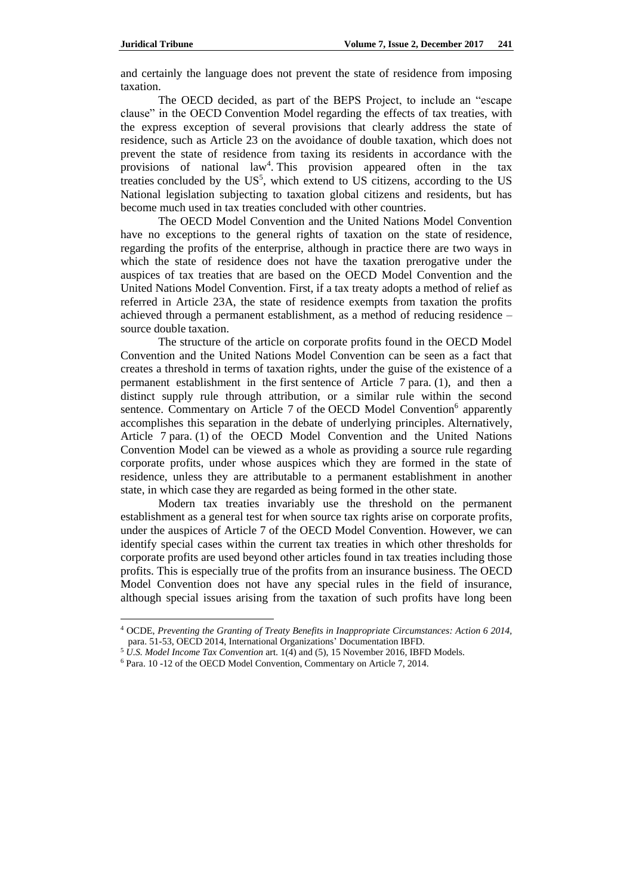$\overline{\phantom{a}}$ 

and certainly the language does not prevent the state of residence from imposing taxation.

The OECD decided, as part of the BEPS Project, to include an "escape clause" in the OECD Convention Model regarding the effects of tax treaties, with the express exception of several provisions that clearly address the state of residence, such as Article 23 on the avoidance of double taxation, which does not prevent the state of residence from taxing its residents in accordance with the provisions of national law<sup>4</sup>. This provision appeared often in the tax treaties concluded by the  $US^5$ , which extend to US citizens, according to the US National legislation subjecting to taxation global citizens and residents, but has become much used in tax treaties concluded with other countries.

The OECD Model Convention and the United Nations Model Convention have no exceptions to the general rights of taxation on the state of residence, regarding the profits of the enterprise, although in practice there are two ways in which the state of residence does not have the taxation prerogative under the auspices of tax treaties that are based on the OECD Model Convention and the United Nations Model Convention. First, if a tax treaty adopts a method of relief as referred in Article 23A, the state of residence exempts from taxation the profits achieved through a permanent establishment, as a method of reducing residence – source double taxation.

The structure of the article on corporate profits found in the OECD Model Convention and the United Nations Model Convention can be seen as a fact that creates a threshold in terms of taxation rights, under the guise of the existence of a permanent establishment in the first sentence of Article 7 para. (1), and then a distinct supply rule through attribution, or a similar rule within the second sentence. Commentary on Article 7 of the OECD Model Convention<sup>6</sup> apparently accomplishes this separation in the debate of underlying principles. Alternatively, Article 7 para. (1) of the OECD Model Convention and the United Nations Convention Model can be viewed as a whole as providing a source rule regarding corporate profits, under whose auspices which they are formed in the state of residence, unless they are attributable to a permanent establishment in another state, in which case they are regarded as being formed in the other state.

Modern tax treaties invariably use the threshold on the permanent establishment as a general test for when source tax rights arise on corporate profits, under the auspices of Article 7 of the OECD Model Convention. However, we can identify special cases within the current tax treaties in which other thresholds for corporate profits are used beyond other articles found in tax treaties including those profits. This is especially true of the profits from an insurance business. The OECD Model Convention does not have any special rules in the field of insurance, although special issues arising from the taxation of such profits have long been

<sup>4</sup> OCDE, *Preventing the Granting of Treaty Benefits in Inappropriate Circumstances: Action 6 2014,*  para. 51-53, OECD 2014, International Organizations' Documentation IBFD.

<sup>5</sup> *U.S. Model Income Tax Convention* art. 1(4) and (5), 15 November 2016, IBFD Models.

<sup>6</sup> Para. 10 -12 of the OECD Model Convention, Commentary on Article 7, 2014.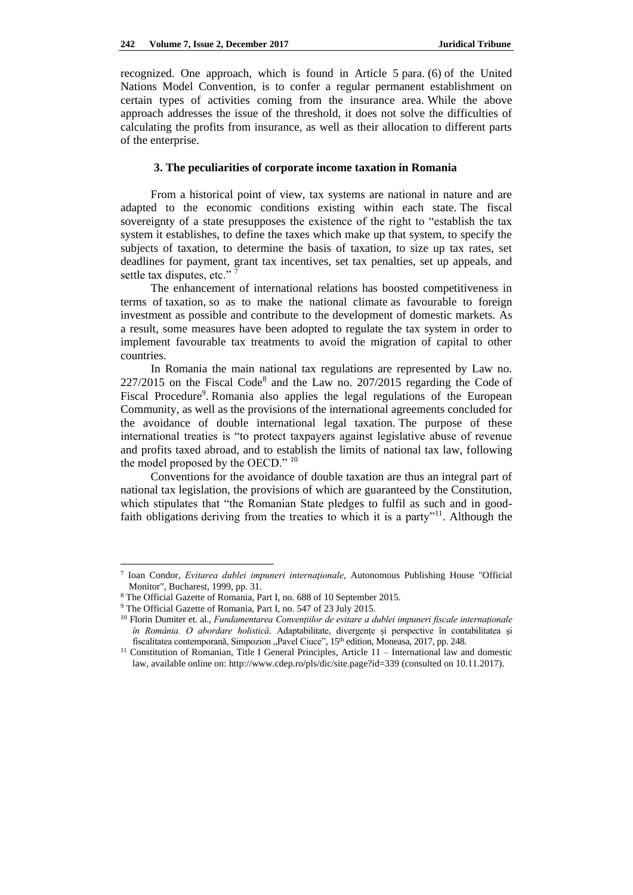recognized. One approach, which is found in Article 5 para. (6) of the United Nations Model Convention, is to confer a regular permanent establishment on certain types of activities coming from the insurance area. While the above approach addresses the issue of the threshold, it does not solve the difficulties of calculating the profits from insurance, as well as their allocation to different parts of the enterprise.

#### **3. The peculiarities of corporate income taxation in Romania**

From a historical point of view, tax systems are national in nature and are adapted to the economic conditions existing within each state. The fiscal sovereignty of a state presupposes the existence of the right to "establish the tax system it establishes, to define the taxes which make up that system, to specify the subjects of taxation, to determine the basis of taxation, to size up tax rates, set deadlines for payment, grant tax incentives, set tax penalties, set up appeals, and settle tax disputes, etc."

The enhancement of international relations has boosted competitiveness in terms of taxation, so as to make the national climate as favourable to foreign investment as possible and contribute to the development of domestic markets. As a result, some measures have been adopted to regulate the tax system in order to implement favourable tax treatments to avoid the migration of capital to other countries.

In Romania the main national tax regulations are represented by Law no.  $227/2015$  on the Fiscal Code<sup>8</sup> and the Law no.  $207/2015$  regarding the Code of Fiscal Procedure<sup>9</sup>. Romania also applies the legal regulations of the European Community, as well as the provisions of the international agreements concluded for the avoidance of double international legal taxation. The purpose of these international treaties is "to protect taxpayers against legislative abuse of revenue and profits taxed abroad, and to establish the limits of national tax law, following the model proposed by the OECD." <sup>10</sup>

Conventions for the avoidance of double taxation are thus an integral part of national tax legislation, the provisions of which are guaranteed by the Constitution, which stipulates that "the Romanian State pledges to fulfil as such and in goodfaith obligations deriving from the treaties to which it is a party"<sup>11</sup>. Although the

 $\overline{\phantom{a}}$ 

<sup>7</sup> Ioan Condor, *Evitarea dublei impuneri internaţionale*, Autonomous Publishing House "Official Monitor", Bucharest, 1999, pp. 31.

<sup>8</sup> The Official Gazette of Romania, Part I, no. 688 of 10 September 2015.

<sup>9</sup> The Official Gazette of Romania, Part I, no. 547 of 23 July 2015.

<sup>10</sup> Florin Dumiter et. al., *Fundamentarea Convențiilor de evitare a dublei impuneri fiscale internaționale în România. O abordare holistică*. Adaptabilitate, divergențe și perspective în contabilitatea și fiscalitatea contemporană, Simpozion "Pavel Ciuce", 15<sup>th</sup> edition, Moneasa, 2017, pp. 248.

<sup>&</sup>lt;sup>11</sup> Constitution of Romanian, Title I General Principles, Article 11 – International law and domestic law, available online on[: http://www.cdep.ro/pls/dic/site.page?id=339](http://www.cdep.ro/pls/dic/site.page?id=339) (consulted on 10.11.2017).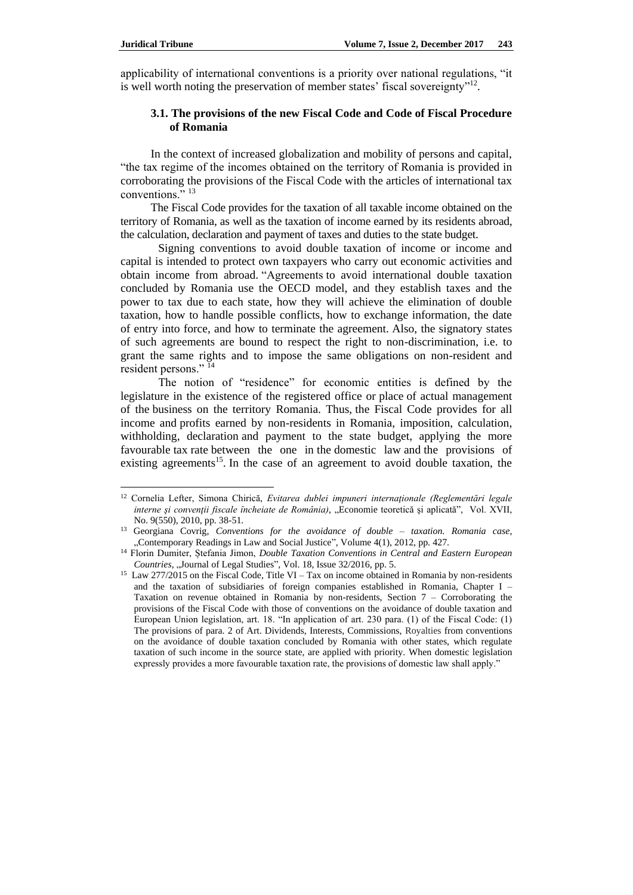$\overline{\phantom{a}}$ 

applicability of international conventions is a priority over national regulations, "it is well worth noting the preservation of member states' fiscal sovereignty"<sup>12</sup>.

### **3.1. The provisions of the new Fiscal Code and Code of Fiscal Procedure of Romania**

In the context of increased globalization and mobility of persons and capital, "the tax regime of the incomes obtained on the territory of Romania is provided in corroborating the provisions of the Fiscal Code with the articles of international tax conventions."<sup>13</sup>

The Fiscal Code provides for the taxation of all taxable income obtained on the territory of Romania, as well as the taxation of income earned by its residents abroad, the calculation, declaration and payment of taxes and duties to the state budget.

Signing conventions to avoid double taxation of income or income and capital is intended to protect own taxpayers who carry out economic activities and obtain income from abroad. "Agreements to avoid international double taxation concluded by Romania use the OECD model, and they establish taxes and the power to tax due to each state, how they will achieve the elimination of double taxation, how to handle possible conflicts, how to exchange information, the date of entry into force, and how to terminate the agreement. Also, the signatory states of such agreements are bound to respect the right to non-discrimination, i.e. to grant the same rights and to impose the same obligations on non-resident and resident persons."<sup>14</sup>

The notion of "residence" for economic entities is defined by the legislature in the existence of the registered office or place of actual management of the business on the territory Romania. Thus, the Fiscal Code provides for all income and profits earned by non-residents in Romania, imposition, calculation, withholding, declaration and payment to the state budget, applying the more favourable tax rate between the one in the domestic law and the provisions of existing agreements<sup>15</sup>. In the case of an agreement to avoid double taxation, the

<sup>&</sup>lt;sup>12</sup> Cornelia Lefter, Simona Chirică, *Evitarea dublei impuneri internationale (Reglementări legale interne şi convenţii fiscale încheiate de România)*, "Economie teoretică şi aplicată", Vol. XVII, No. 9(550), 2010, pp. 38-51.

<sup>13</sup> Georgiana Covrig, *Conventions for the avoidance of double – taxation. Romania case*, "Contemporary Readings in Law and Social Justice", Volume 4(1), 2012, pp. 427.

<sup>14</sup> Florin Dumiter, Ștefania Jimon, *Double Taxation Conventions in Central and Eastern European Countries, "Journal of Legal Studies", Vol. 18, Issue 32/2016, pp. 5.* 

<sup>&</sup>lt;sup>15</sup> Law 277/2015 on the Fiscal Code, Title VI – Tax on income obtained in Romania by non-residents and the taxation of subsidiaries of foreign companies established in Romania, Chapter I – Taxation on revenue obtained in Romania by non-residents, Section 7 – Corroborating the provisions of the Fiscal Code with those of conventions on the avoidance of double taxation and European Union legislation, art. 18. "In application of art. 230 para. (1) of the Fiscal Code: (1) The provisions of para. 2 of Art. Dividends, Interests, Commissions, Royalties from conventions on the avoidance of double taxation concluded by Romania with other states, which regulate taxation of such income in the source state, are applied with priority. When domestic legislation expressly provides a more favourable taxation rate, the provisions of domestic law shall apply."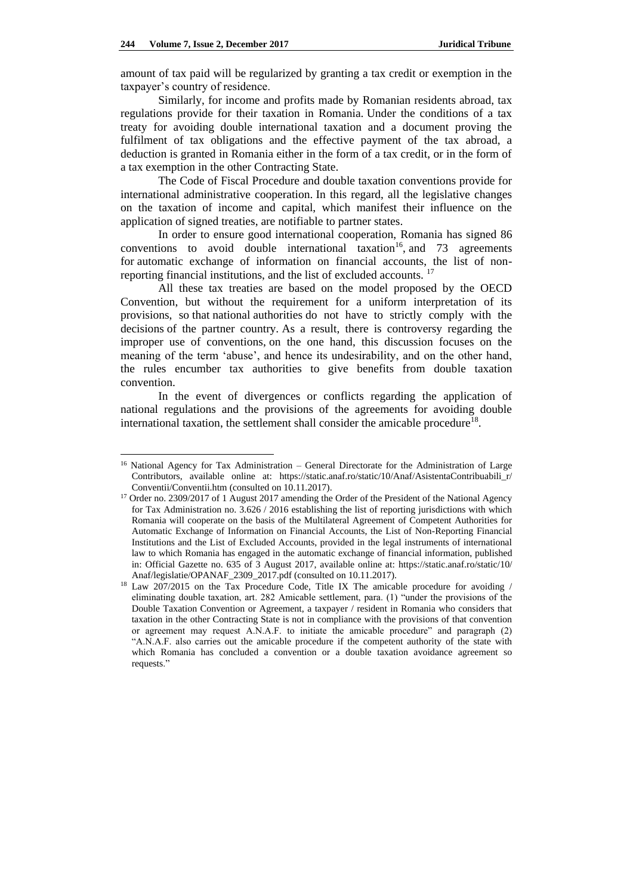$\overline{\phantom{a}}$ 

amount of tax paid will be regularized by granting a tax credit or exemption in the taxpayer's country of residence.

Similarly, for income and profits made by Romanian residents abroad, tax regulations provide for their taxation in Romania. Under the conditions of a tax treaty for avoiding double international taxation and a document proving the fulfilment of tax obligations and the effective payment of the tax abroad, a deduction is granted in Romania either in the form of a tax credit, or in the form of a tax exemption in the other Contracting State.

The Code of Fiscal Procedure and double taxation conventions provide for international administrative cooperation. In this regard, all the legislative changes on the taxation of income and capital, which manifest their influence on the application of signed treaties, are notifiable to partner states.

In order to ensure good international cooperation, Romania has signed 86 conventions to avoid double international taxation<sup>16</sup>, and 73 agreements for automatic exchange of information on financial accounts, the list of nonreporting financial institutions, and the list of excluded accounts. <sup>17</sup>

All these tax treaties are based on the model proposed by the OECD Convention, but without the requirement for a uniform interpretation of its provisions, so that national authorities do not have to strictly comply with the decisions of the partner country. As a result, there is controversy regarding the improper use of conventions, on the one hand, this discussion focuses on the meaning of the term 'abuse', and hence its undesirability, and on the other hand, the rules encumber tax authorities to give benefits from double taxation convention.

In the event of divergences or conflicts regarding the application of national regulations and the provisions of the agreements for avoiding double international taxation, the settlement shall consider the amicable procedure<sup>18</sup> .

<sup>&</sup>lt;sup>16</sup> National Agency for Tax Administration – General Directorate for the Administration of Large Contributors, available online at: [https://static.anaf.ro/static/10/Anaf/AsistentaContribuabili\\_r/](https://static.anaf.ro/static/10/Anaf/AsistentaContribuabili_r/Conventii/Conventii.htm) [Conventii/Conventii.htm](https://static.anaf.ro/static/10/Anaf/AsistentaContribuabili_r/Conventii/Conventii.htm) (consulted on 10.11.2017).

<sup>&</sup>lt;sup>17</sup> Order no. 2309/2017 of 1 August 2017 amending the Order of the President of the National Agency for Tax Administration no. 3.626 / 2016 establishing the list of reporting jurisdictions with which Romania will cooperate on the basis of the Multilateral Agreement of Competent Authorities for Automatic Exchange of Information on Financial Accounts, the List of Non-Reporting Financial Institutions and the List of Excluded Accounts, provided in the legal instruments of international law to which Romania has engaged in the automatic exchange of financial information, published in: Official Gazette no. 635 of 3 August 2017, available online at: [https://static.anaf.ro/static/10/](https://static.anaf.ro/static/10/Anaf/legislatie/OPANAF_2309_2017.pdf) [Anaf/legislatie/OPANAF\\_2309\\_2017.pdf](https://static.anaf.ro/static/10/Anaf/legislatie/OPANAF_2309_2017.pdf) (consulted on 10.11.2017).

<sup>&</sup>lt;sup>18</sup> Law 207/2015 on the Tax Procedure Code, Title IX The amicable procedure for avoiding / eliminating double taxation, art. 282 Amicable settlement, para. (1) "under the provisions of the Double Taxation Convention or Agreement, a taxpayer / resident in Romania who considers that taxation in the other Contracting State is not in compliance with the provisions of that convention or agreement may request A.N.A.F. to initiate the amicable procedure" and paragraph (2) "A.N.A.F. also carries out the amicable procedure if the competent authority of the state with which Romania has concluded a convention or a double taxation avoidance agreement so requests."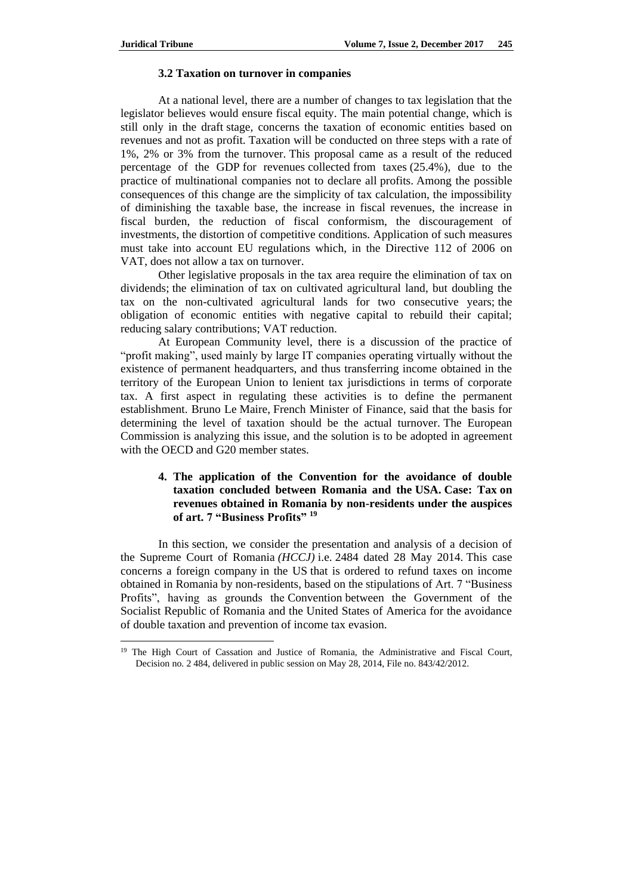$\overline{a}$ 

### **3.2 Taxation on turnover in companies**

At a national level, there are a number of changes to tax legislation that the legislator believes would ensure fiscal equity. The main potential change, which is still only in the draft stage, concerns the taxation of economic entities based on revenues and not as profit. Taxation will be conducted on three steps with a rate of 1%, 2% or 3% from the turnover. This proposal came as a result of the reduced percentage of the GDP for revenues collected from taxes (25.4%), due to the practice of multinational companies not to declare all profits. Among the possible consequences of this change are the simplicity of tax calculation, the impossibility of diminishing the taxable base, the increase in fiscal revenues, the increase in fiscal burden, the reduction of fiscal conformism, the discouragement of investments, the distortion of competitive conditions. Application of such measures must take into account EU regulations which, in the Directive 112 of 2006 on VAT, does not allow a tax on turnover.

Other legislative proposals in the tax area require the elimination of tax on dividends; the elimination of tax on cultivated agricultural land, but doubling the tax on the non-cultivated agricultural lands for two consecutive years; the obligation of economic entities with negative capital to rebuild their capital; reducing salary contributions; VAT reduction.

At European Community level, there is a discussion of the practice of "profit making", used mainly by large IT companies operating virtually without the existence of permanent headquarters, and thus transferring income obtained in the territory of the European Union to lenient tax jurisdictions in terms of corporate tax. A first aspect in regulating these activities is to define the permanent establishment. Bruno Le Maire, French Minister of Finance, said that the basis for determining the level of taxation should be the actual turnover. The European Commission is analyzing this issue, and the solution is to be adopted in agreement with the OECD and G20 member states.

# **4. The application of the Convention for the avoidance of double taxation concluded between Romania and the USA. Case: Tax on revenues obtained in Romania by non-residents under the auspices of art. 7 "Business Profits" <sup>19</sup>**

In this section, we consider the presentation and analysis of a decision of the Supreme Court of Romania *(HCCJ)* i.e. 2484 dated 28 May 2014. This case concerns a foreign company in the US that is ordered to refund taxes on income obtained in Romania by non-residents, based on the stipulations of Art. 7 "Business Profits", having as grounds the Convention between the Government of the Socialist Republic of Romania and the United States of America for the avoidance of double taxation and prevention of income tax evasion.

<sup>&</sup>lt;sup>19</sup> The High Court of Cassation and Justice of Romania, the Administrative and Fiscal Court, Decision no. 2 484, delivered in public session on May 28, 2014, File no. 843/42/2012.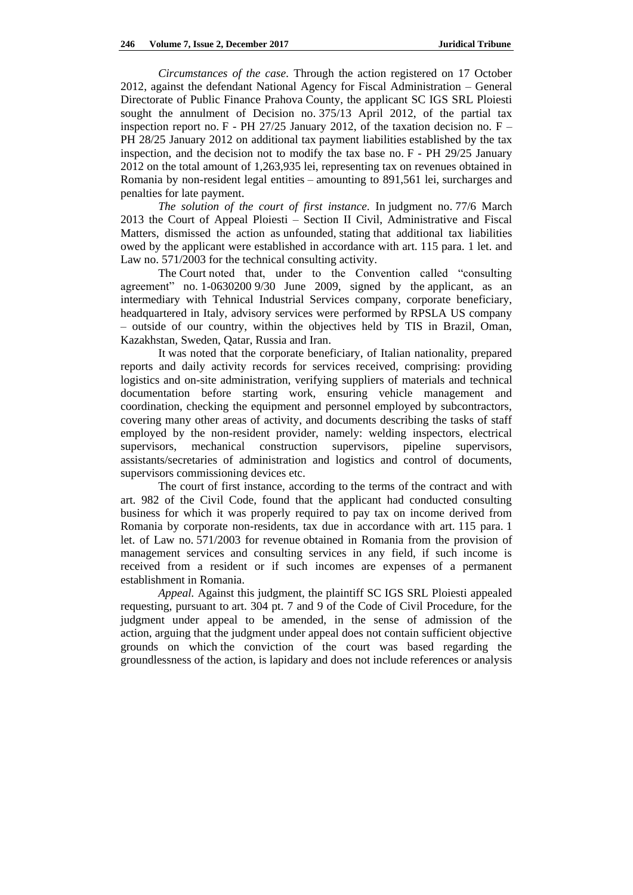*Circumstances of the case.* Through the action registered on 17 October 2012, against the defendant National Agency for Fiscal Administration – General Directorate of Public Finance Prahova County, the applicant SC IGS SRL Ploiesti sought the annulment of Decision no. 375/13 April 2012, of the partial tax inspection report no. F - PH 27/25 January 2012, of the taxation decision no.  $F -$ PH 28/25 January 2012 on additional tax payment liabilities established by the tax inspection, and the decision not to modify the tax base no. F - PH 29/25 January 2012 on the total amount of 1,263,935 lei, representing tax on revenues obtained in Romania by non-resident legal entities – amounting to 891,561 lei, surcharges and penalties for late payment.

*The solution of the court of first instance.* In judgment no. 77/6 March 2013 the Court of Appeal Ploiesti – Section II Civil, Administrative and Fiscal Matters, dismissed the action as unfounded, stating that additional tax liabilities owed by the applicant were established in accordance with art. 115 para. 1 let. and Law no. 571/2003 for the technical consulting activity.

The Court noted that, under to the Convention called "consulting agreement" no. 1-0630200 9/30 June 2009, signed by the applicant, as an intermediary with Tehnical Industrial Services company, corporate beneficiary, headquartered in Italy, advisory services were performed by RPSLA US company – outside of our country, within the objectives held by TIS in Brazil, Oman, Kazakhstan, Sweden, Qatar, Russia and Iran.

It was noted that the corporate beneficiary, of Italian nationality, prepared reports and daily activity records for services received, comprising: providing logistics and on-site administration, verifying suppliers of materials and technical documentation before starting work, ensuring vehicle management and coordination, checking the equipment and personnel employed by subcontractors, covering many other areas of activity, and documents describing the tasks of staff employed by the non-resident provider, namely: welding inspectors, electrical supervisors, mechanical construction supervisors, pipeline supervisors, assistants/secretaries of administration and logistics and control of documents, supervisors commissioning devices etc.

The court of first instance, according to the terms of the contract and with art. 982 of the Civil Code, found that the applicant had conducted consulting business for which it was properly required to pay tax on income derived from Romania by corporate non-residents, tax due in accordance with art. 115 para. 1 let. of Law no. 571/2003 for revenue obtained in Romania from the provision of management services and consulting services in any field, if such income is received from a resident or if such incomes are expenses of a permanent establishment in Romania.

*Appeal.* Against this judgment, the plaintiff SC IGS SRL Ploiesti appealed requesting, pursuant to art. 304 pt. 7 and 9 of the Code of Civil Procedure, for the judgment under appeal to be amended, in the sense of admission of the action, arguing that the judgment under appeal does not contain sufficient objective grounds on which the conviction of the court was based regarding the groundlessness of the action, is lapidary and does not include references or analysis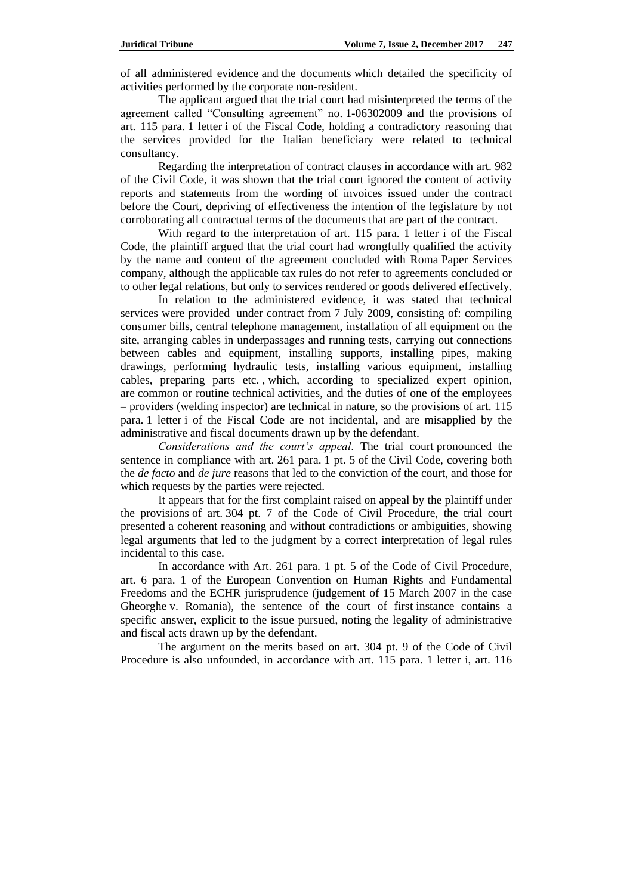of all administered evidence and the documents which detailed the specificity of activities performed by the corporate non-resident.

The applicant argued that the trial court had misinterpreted the terms of the agreement called "Consulting agreement" no. 1-06302009 and the provisions of art. 115 para. 1 letter i of the Fiscal Code, holding a contradictory reasoning that the services provided for the Italian beneficiary were related to technical consultancy.

Regarding the interpretation of contract clauses in accordance with art. 982 of the Civil Code, it was shown that the trial court ignored the content of activity reports and statements from the wording of invoices issued under the contract before the Court, depriving of effectiveness the intention of the legislature by not corroborating all contractual terms of the documents that are part of the contract.

With regard to the interpretation of art. 115 para. 1 letter i of the Fiscal Code, the plaintiff argued that the trial court had wrongfully qualified the activity by the name and content of the agreement concluded with Roma Paper Services company, although the applicable tax rules do not refer to agreements concluded or to other legal relations, but only to services rendered or goods delivered effectively.

In relation to the administered evidence, it was stated that technical services were provided under contract from 7 July 2009, consisting of: compiling consumer bills, central telephone management, installation of all equipment on the site, arranging cables in underpassages and running tests, carrying out connections between cables and equipment, installing supports, installing pipes, making drawings, performing hydraulic tests, installing various equipment, installing cables, preparing parts etc. , which, according to specialized expert opinion, are common or routine technical activities, and the duties of one of the employees – providers (welding inspector) are technical in nature, so the provisions of art. 115 para. 1 letter i of the Fiscal Code are not incidental, and are misapplied by the administrative and fiscal documents drawn up by the defendant.

*Considerations and the court's appeal.* The trial court pronounced the sentence in compliance with art. 261 para. 1 pt. 5 of the Civil Code, covering both the *de facto* and *de jure* reasons that led to the conviction of the court, and those for which requests by the parties were rejected.

It appears that for the first complaint raised on appeal by the plaintiff under the provisions of art. 304 pt. 7 of the Code of Civil Procedure, the trial court presented a coherent reasoning and without contradictions or ambiguities, showing legal arguments that led to the judgment by a correct interpretation of legal rules incidental to this case.

In accordance with Art. 261 para. 1 pt. 5 of the Code of Civil Procedure, art. 6 para. 1 of the European Convention on Human Rights and Fundamental Freedoms and the ECHR jurisprudence (judgement of 15 March 2007 in the case Gheorghe v. Romania), the sentence of the court of first instance contains a specific answer, explicit to the issue pursued, noting the legality of administrative and fiscal acts drawn up by the defendant.

The argument on the merits based on art. 304 pt. 9 of the Code of Civil Procedure is also unfounded, in accordance with art. 115 para. 1 letter i, art. 116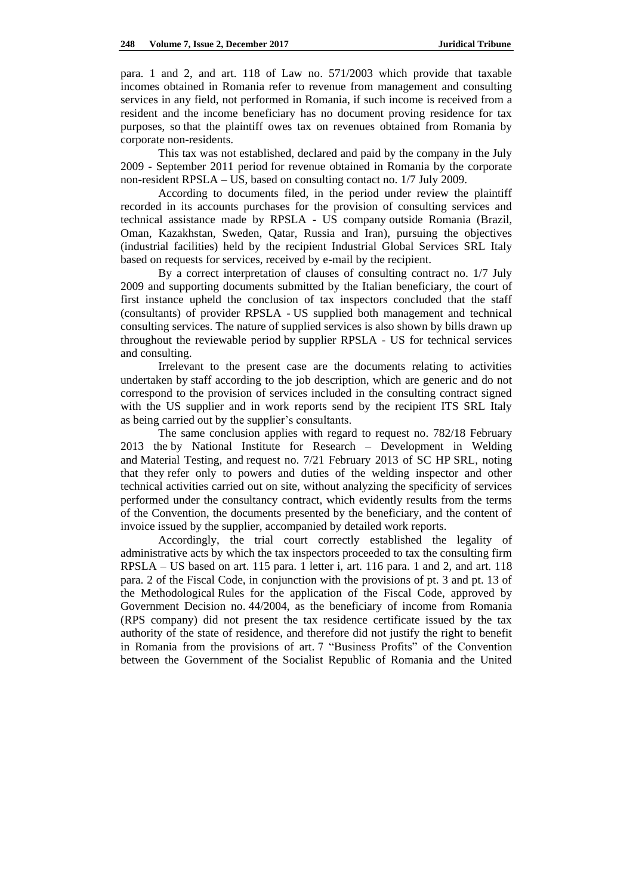para. 1 and 2, and art. 118 of Law no. 571/2003 which provide that taxable incomes obtained in Romania refer to revenue from management and consulting services in any field, not performed in Romania, if such income is received from a resident and the income beneficiary has no document proving residence for tax purposes, so that the plaintiff owes tax on revenues obtained from Romania by corporate non-residents.

This tax was not established, declared and paid by the company in the July 2009 - September 2011 period for revenue obtained in Romania by the corporate non-resident RPSLA – US, based on consulting contact no. 1/7 July 2009.

According to documents filed, in the period under review the plaintiff recorded in its accounts purchases for the provision of consulting services and technical assistance made by RPSLA - US company outside Romania (Brazil, Oman, Kazakhstan, Sweden, Qatar, Russia and Iran), pursuing the objectives (industrial facilities) held by the recipient Industrial Global Services SRL Italy based on requests for services, received by e-mail by the recipient.

By a correct interpretation of clauses of consulting contract no. 1/7 July 2009 and supporting documents submitted by the Italian beneficiary, the court of first instance upheld the conclusion of tax inspectors concluded that the staff (consultants) of provider RPSLA - US supplied both management and technical consulting services. The nature of supplied services is also shown by bills drawn up throughout the reviewable period by supplier RPSLA - US for technical services and consulting.

Irrelevant to the present case are the documents relating to activities undertaken by staff according to the job description, which are generic and do not correspond to the provision of services included in the consulting contract signed with the US supplier and in work reports send by the recipient ITS SRL Italy as being carried out by the supplier's consultants.

The same conclusion applies with regard to request no. 782/18 February 2013 the by National Institute for Research – Development in Welding and Material Testing, and request no. 7/21 February 2013 of SC HP SRL, noting that they refer only to powers and duties of the welding inspector and other technical activities carried out on site, without analyzing the specificity of services performed under the consultancy contract, which evidently results from the terms of the Convention, the documents presented by the beneficiary, and the content of invoice issued by the supplier, accompanied by detailed work reports.

Accordingly, the trial court correctly established the legality of administrative acts by which the tax inspectors proceeded to tax the consulting firm RPSLA – US based on art. 115 para. 1 letter i, art. 116 para. 1 and 2, and art. 118 para. 2 of the Fiscal Code, in conjunction with the provisions of pt. 3 and pt. 13 of the Methodological Rules for the application of the Fiscal Code, approved by Government Decision no. 44/2004, as the beneficiary of income from Romania (RPS company) did not present the tax residence certificate issued by the tax authority of the state of residence, and therefore did not justify the right to benefit in Romania from the provisions of art. 7 "Business Profits" of the Convention between the Government of the Socialist Republic of Romania and the United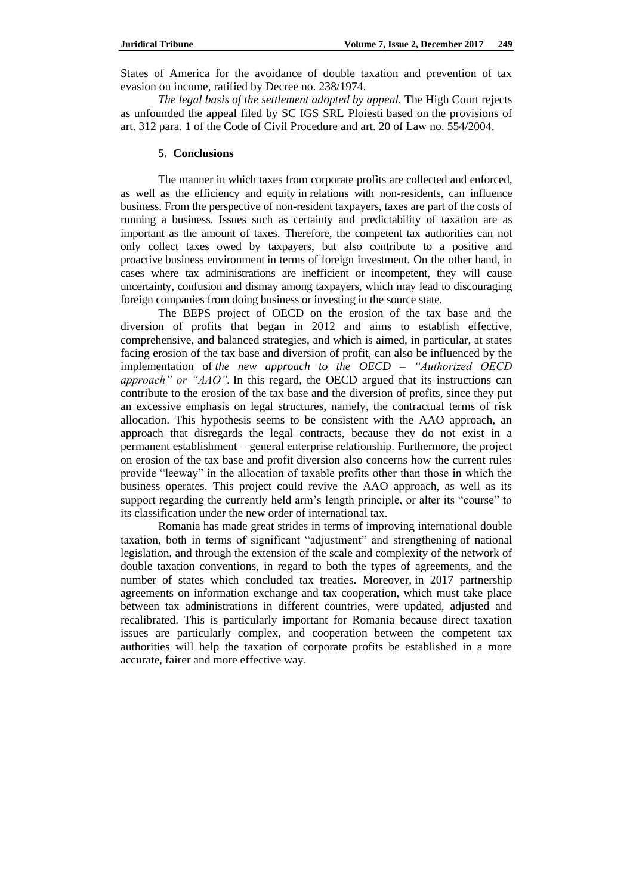States of America for the avoidance of double taxation and prevention of tax evasion on income, ratified by Decree no. 238/1974.

*The legal basis of the settlement adopted by appeal.* The High Court rejects as unfounded the appeal filed by SC IGS SRL Ploiesti based on the provisions of art. 312 para. 1 of the Code of Civil Procedure and art. 20 of Law no. 554/2004.

## **5. Conclusions**

The manner in which taxes from corporate profits are collected and enforced, as well as the efficiency and equity in relations with non-residents, can influence business. From the perspective of non-resident taxpayers, taxes are part of the costs of running a business. Issues such as certainty and predictability of taxation are as important as the amount of taxes. Therefore, the competent tax authorities can not only collect taxes owed by taxpayers, but also contribute to a positive and proactive business environment in terms of foreign investment. On the other hand, in cases where tax administrations are inefficient or incompetent, they will cause uncertainty, confusion and dismay among taxpayers, which may lead to discouraging foreign companies from doing business or investing in the source state.

The BEPS project of OECD on the erosion of the tax base and the diversion of profits that began in 2012 and aims to establish effective, comprehensive, and balanced strategies, and which is aimed, in particular, at states facing erosion of the tax base and diversion of profit, can also be influenced by the implementation of *the new approach to the OECD – "Authorized OECD approach" or "AAO".* In this regard, the OECD argued that its instructions can contribute to the erosion of the tax base and the diversion of profits, since they put an excessive emphasis on legal structures, namely, the contractual terms of risk allocation. This hypothesis seems to be consistent with the AAO approach, an approach that disregards the legal contracts, because they do not exist in a permanent establishment – general enterprise relationship. Furthermore, the project on erosion of the tax base and profit diversion also concerns how the current rules provide "leeway" in the allocation of taxable profits other than those in which the business operates. This project could revive the AAO approach, as well as its support regarding the currently held arm's length principle, or alter its "course" to its classification under the new order of international tax.

Romania has made great strides in terms of improving international double taxation, both in terms of significant "adjustment" and strengthening of national legislation, and through the extension of the scale and complexity of the network of double taxation conventions, in regard to both the types of agreements, and the number of states which concluded tax treaties. Moreover, in 2017 partnership agreements on information exchange and tax cooperation, which must take place between tax administrations in different countries, were updated, adjusted and recalibrated. This is particularly important for Romania because direct taxation issues are particularly complex, and cooperation between the competent tax authorities will help the taxation of corporate profits be established in a more accurate, fairer and more effective way.